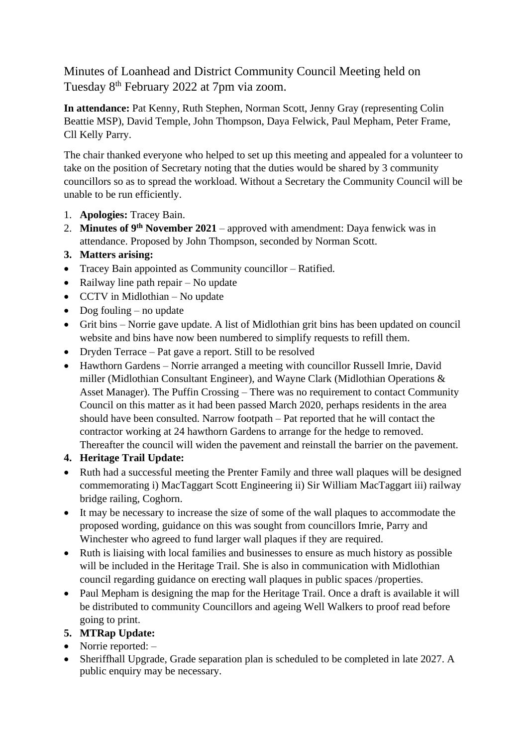Minutes of Loanhead and District Community Council Meeting held on Tuesday 8th February 2022 at 7pm via zoom.

**In attendance:** Pat Kenny, Ruth Stephen, Norman Scott, Jenny Gray (representing Colin Beattie MSP), David Temple, John Thompson, Daya Felwick, Paul Mepham, Peter Frame, Cll Kelly Parry.

The chair thanked everyone who helped to set up this meeting and appealed for a volunteer to take on the position of Secretary noting that the duties would be shared by 3 community councillors so as to spread the workload. Without a Secretary the Community Council will be unable to be run efficiently.

- 1. **Apologies:** Tracey Bain.
- 2. **Minutes of 9th November 2021** approved with amendment: Daya fenwick was in attendance. Proposed by John Thompson, seconded by Norman Scott.
- **3. Matters arising:**
- Tracey Bain appointed as Community councillor Ratified.
- Railway line path repair No update
- CCTV in Midlothian No update
- Dog fouling no update
- Grit bins Norrie gave update. A list of Midlothian grit bins has been updated on council website and bins have now been numbered to simplify requests to refill them.
- Dryden Terrace Pat gave a report. Still to be resolved
- Hawthorn Gardens Norrie arranged a meeting with councillor Russell Imrie, David miller (Midlothian Consultant Engineer), and Wayne Clark (Midlothian Operations & Asset Manager). The Puffin Crossing – There was no requirement to contact Community Council on this matter as it had been passed March 2020, perhaps residents in the area should have been consulted. Narrow footpath – Pat reported that he will contact the contractor working at 24 hawthorn Gardens to arrange for the hedge to removed. Thereafter the council will widen the pavement and reinstall the barrier on the pavement.

## **4. Heritage Trail Update:**

- Ruth had a successful meeting the Prenter Family and three wall plaques will be designed commemorating i) MacTaggart Scott Engineering ii) Sir William MacTaggart iii) railway bridge railing, Coghorn.
- It may be necessary to increase the size of some of the wall plaques to accommodate the proposed wording, guidance on this was sought from councillors Imrie, Parry and Winchester who agreed to fund larger wall plaques if they are required.
- Ruth is liaising with local families and businesses to ensure as much history as possible will be included in the Heritage Trail. She is also in communication with Midlothian council regarding guidance on erecting wall plaques in public spaces /properties.
- Paul Mepham is designing the map for the Heritage Trail. Once a draft is available it will be distributed to community Councillors and ageing Well Walkers to proof read before going to print.
- **5. MTRap Update:**
- Norrie reported: –
- Sheriffhall Upgrade, Grade separation plan is scheduled to be completed in late 2027. A public enquiry may be necessary.